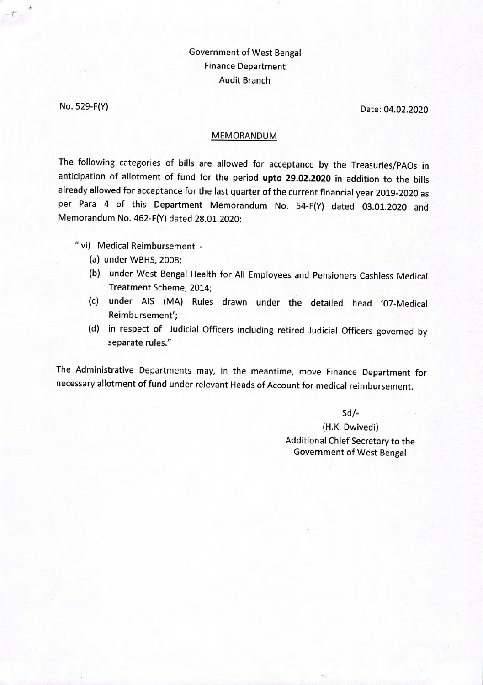## Government of West Bengal Finance Department Audit Branch

No. 529-F(Y) Date: 04.02.2020

## MEMORANDUM

The following categories of bills are allowed for acceptance by the Treasuries/PAOs in anticipation of allotment of fund for the period **upto 29.02.2020** in addition to the bills already allowed for acceptance for the last quarter of the current financial year 2019-2020 as per Para 4 of this Department Memorandum No. 54-F(Y) dated 03.01.2020 and Memorandum No. 462-F(Y) dated 28.01.2020:

"vi) Medical Reimbursement -

- (a) under WBHS, 2008;
- (b) under West Bengal Health for All Employees and Pensioners Cashless Medical Treatment Scheme, 2014;
- (c) under AIS (MA) Rules drawn under the detailed head '07-Medical Reimbursement';
- (d) in respect of Judicial Officers including retired Judicial Officers governed by separate rules."

The Administrative Departments may, in the meantime, move Finance Department for necessary allotment of fund under relevant Heads of Account for medical reimbursement.

Sd/-

(H.K. Dwivedi) Additional Chief Secretary to the Government of West Bengal